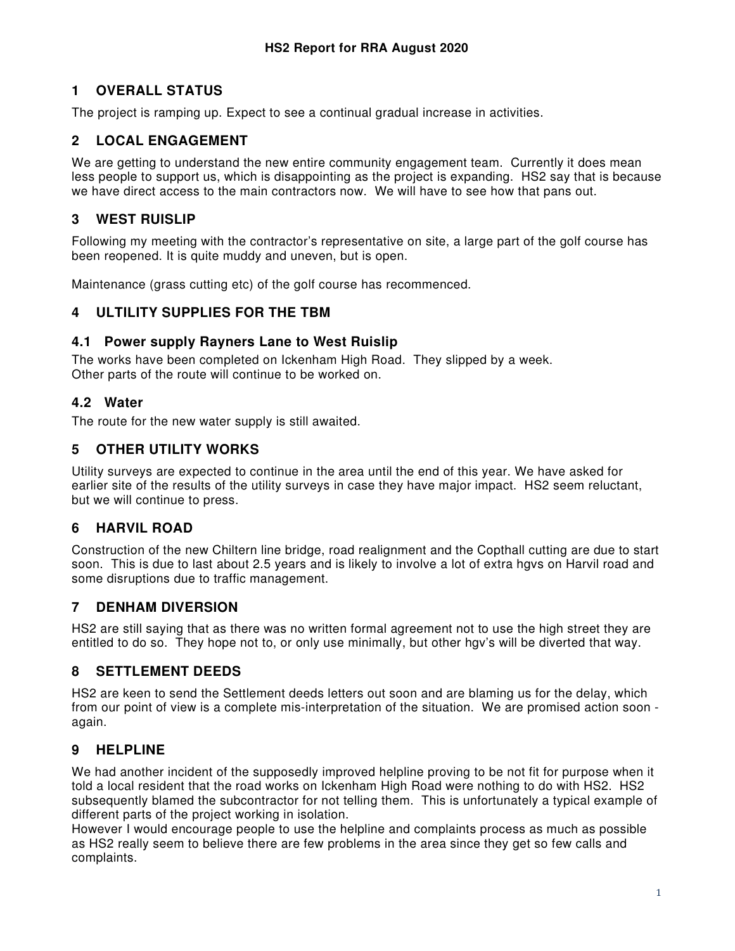# **1 OVERALL STATUS**

The project is ramping up. Expect to see a continual gradual increase in activities.

## **2 LOCAL ENGAGEMENT**

We are getting to understand the new entire community engagement team. Currently it does mean less people to support us, which is disappointing as the project is expanding. HS2 say that is because we have direct access to the main contractors now. We will have to see how that pans out.

### **3 WEST RUISLIP**

Following my meeting with the contractor's representative on site, a large part of the golf course has been reopened. It is quite muddy and uneven, but is open.

Maintenance (grass cutting etc) of the golf course has recommenced.

### **4 ULTILITY SUPPLIES FOR THE TBM**

### **4.1 Power supply Rayners Lane to West Ruislip**

The works have been completed on Ickenham High Road. They slipped by a week. Other parts of the route will continue to be worked on.

### **4.2 Water**

The route for the new water supply is still awaited.

## **5 OTHER UTILITY WORKS**

Utility surveys are expected to continue in the area until the end of this year. We have asked for earlier site of the results of the utility surveys in case they have major impact. HS2 seem reluctant, but we will continue to press.

## **6 HARVIL ROAD**

Construction of the new Chiltern line bridge, road realignment and the Copthall cutting are due to start soon. This is due to last about 2.5 years and is likely to involve a lot of extra hgvs on Harvil road and some disruptions due to traffic management.

### **7 DENHAM DIVERSION**

HS2 are still saying that as there was no written formal agreement not to use the high street they are entitled to do so. They hope not to, or only use minimally, but other hgv's will be diverted that way.

### **8 SETTLEMENT DEEDS**

HS2 are keen to send the Settlement deeds letters out soon and are blaming us for the delay, which from our point of view is a complete mis-interpretation of the situation. We are promised action soon again.

### **9 HELPLINE**

We had another incident of the supposedly improved helpline proving to be not fit for purpose when it told a local resident that the road works on Ickenham High Road were nothing to do with HS2. HS2 subsequently blamed the subcontractor for not telling them. This is unfortunately a typical example of different parts of the project working in isolation.

However I would encourage people to use the helpline and complaints process as much as possible as HS2 really seem to believe there are few problems in the area since they get so few calls and complaints.